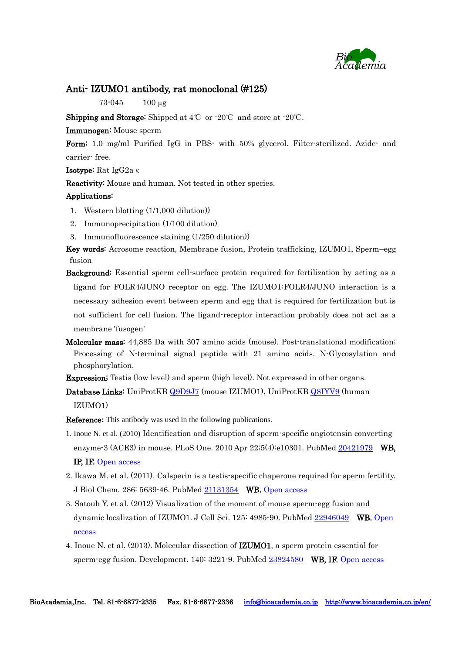

#### Anti- IZUMO1 antibody, rat monoclonal (#125)

73-045 100 µg

**Shipping and Storage:** Shipped at  $4^{\circ}\text{C}$  or  $\cdot 20^{\circ}\text{C}$  and store at  $\cdot 20^{\circ}\text{C}$ .

Immunogen: Mouse sperm

Form: 1.0 mg/ml Purified IgG in PBS- with 50% glycerol. Filter-sterilized. Azide- and carrier- free.

**Isotype:** Rat IgG2a $\kappa$ 

Reactivity: Mouse and human. Not tested in other species.

#### Applications:

- 1. Western blotting (1/1,000 dilution))
- 2. Immunoprecipitation (1/100 dilution)
- 3. Immunofluorescence staining (1/250 dilution))

Key words: Acrosome reaction, Membrane fusion, Protein trafficking, IZUMO1, Sperm–egg fusion

- Background: Essential sperm cell-surface protein required for fertilization by acting as a ligand for FOLR4/JUNO receptor on egg. The IZUMO1:FOLR4/JUNO interaction is a necessary adhesion event between sperm and egg that is required for fertilization but is not sufficient for cell fusion. The ligand-receptor interaction probably does not act as a membrane 'fusogen'
- Molecular mass: 44,885 Da with 307 amino acids (mouse). Post-translational modification; Processing of N-terminal signal peptide with 21 amino acids. N-Glycosylation and phosphorylation.

Expression; Testis (low level) and sperm (high level). Not expressed in other organs.

Database Links: UniProtKB [Q9D9J7](http://www.uniprot.org/uniprot/Q9D9J7) (mouse IZUMO1), UniProtKB [Q8IYV9](http://www.uniprot.org/uniprot/Q8IYV9) (human IZUMO1)

Reference**:** This antibody was used in the following publications.

- 1. Inoue N. et al. (2010) Identification and disruption of sperm-specific angiotensin converting enzyme-3 (ACE3) in mouse. [PLoS One.](http://www.ncbi.nlm.nih.gov/pubmed/20421979) 2010 Apr 22;5(4):e10301. PubMed [20421979](http://www.ncbi.nlm.nih.gov/pubmed/20421979) WB, IP, IF. Open access
- 2. Ikawa M. et al. (2011). Calsperin is a testis-specific chaperone required for sperm fertility. [J Biol Chem.](http://www.ncbi.nlm.nih.gov/pubmed/21131354) 286: 5639-46. PubMed [21131354](http://www.ncbi.nlm.nih.gov/pubmed/21131354) WB. Open access
- 3. Satouh Y. et al. (2012) Visualization of the moment of mouse sperm-egg fusion and dynamic localization of IZUMO1. [J Cell Sci.](http://www.ncbi.nlm.nih.gov/pubmed/22946049) 125: 4985-90. PubMed [22946049](http://www.ncbi.nlm.nih.gov/pubmed/22946049) WB. Open access
- 4. Inoue N. et al. (2013). Molecular dissection of [IZUMO1, a sperm protein essential for](http://www.ncbi.nlm.nih.gov/pubmed/23824580)  [sperm-egg fusion.](http://www.ncbi.nlm.nih.gov/pubmed/23824580) Development. 140: 3221-9. PubMed [23824580](http://www.ncbi.nlm.nih.gov/pubmed/23824580) WB, IF. Open access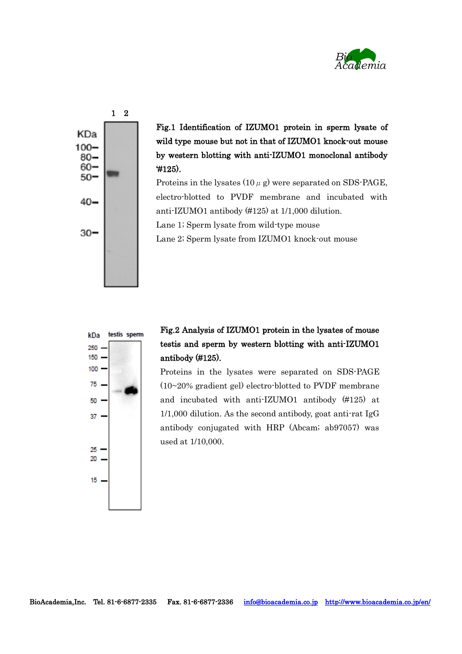



Fig.1 Identification of IZUMO1 protein in sperm lysate of wild type mouse but not in that of IZUMO1 knock-out mouse by western blotting with anti-IZUMO1 monoclonal antibody '#125).

Proteins in the lysates  $(10 \mu g)$  were separated on SDS-PAGE, electro-blotted to PVDF membrane and incubated with anti-IZUMO1 antibody (#125) at 1/1,000 dilution. Lane 1; Sperm lysate from wild-type mouse

Lane 2; Sperm lysate from IZUMO1 knock-out mouse



### Fig.2 Analysis of IZUMO1 protein in the lysates of mouse testis and sperm by western blotting with anti-IZUMO1 antibody (#125).

Proteins in the lysates were separated on SDS-PAGE (10~20% gradient gel) electro-blotted to PVDF membrane and incubated with anti-IZUMO1 antibody (#125) at  $1/1,000$  dilution. As the second antibody, goat anti-rat IgG antibody conjugated with HRP (Abcam; ab97057) was used at 1/10,000.